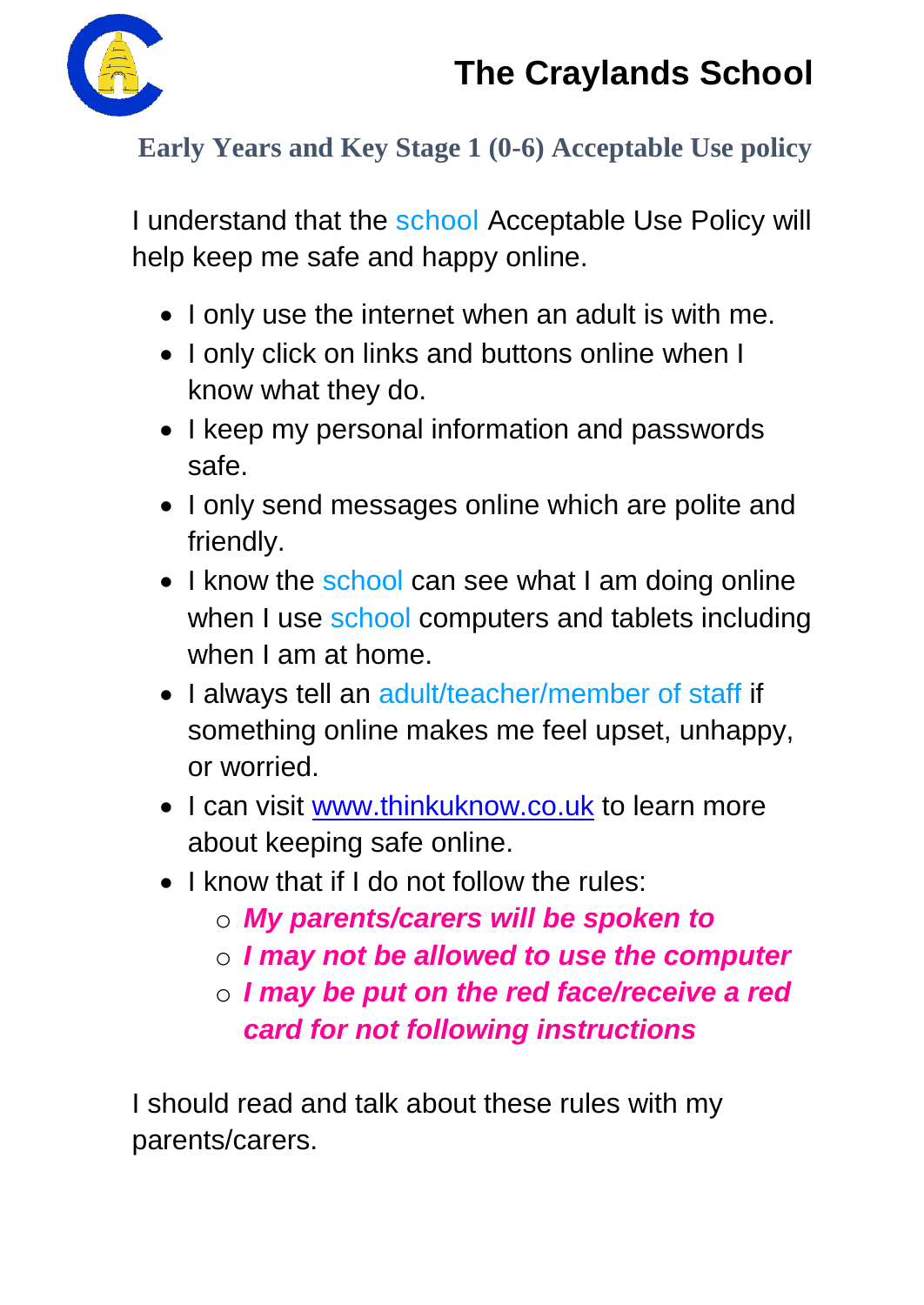

### **Early Years and Key Stage 1 (0-6) Acceptable Use policy**

I understand that the school Acceptable Use Policy will help keep me safe and happy online.

- I only use the internet when an adult is with me.
- I only click on links and buttons online when I know what they do.
- I keep my personal information and passwords safe.
- I only send messages online which are polite and friendly.
- I know the school can see what I am doing online when I use school computers and tablets including when I am at home.
- I always tell an adult/teacher/member of staff if something online makes me feel upset, unhappy, or worried.
- I can visit [www.thinkuknow.co.uk](http://www.thinkuknow.co.uk/) to learn more about keeping safe online.
- I know that if I do not follow the rules:
	- o *My parents/carers will be spoken to*
	- o *I may not be allowed to use the computer*
	- o *I may be put on the red face/receive a red card for not following instructions*

I should read and talk about these rules with my parents/carers.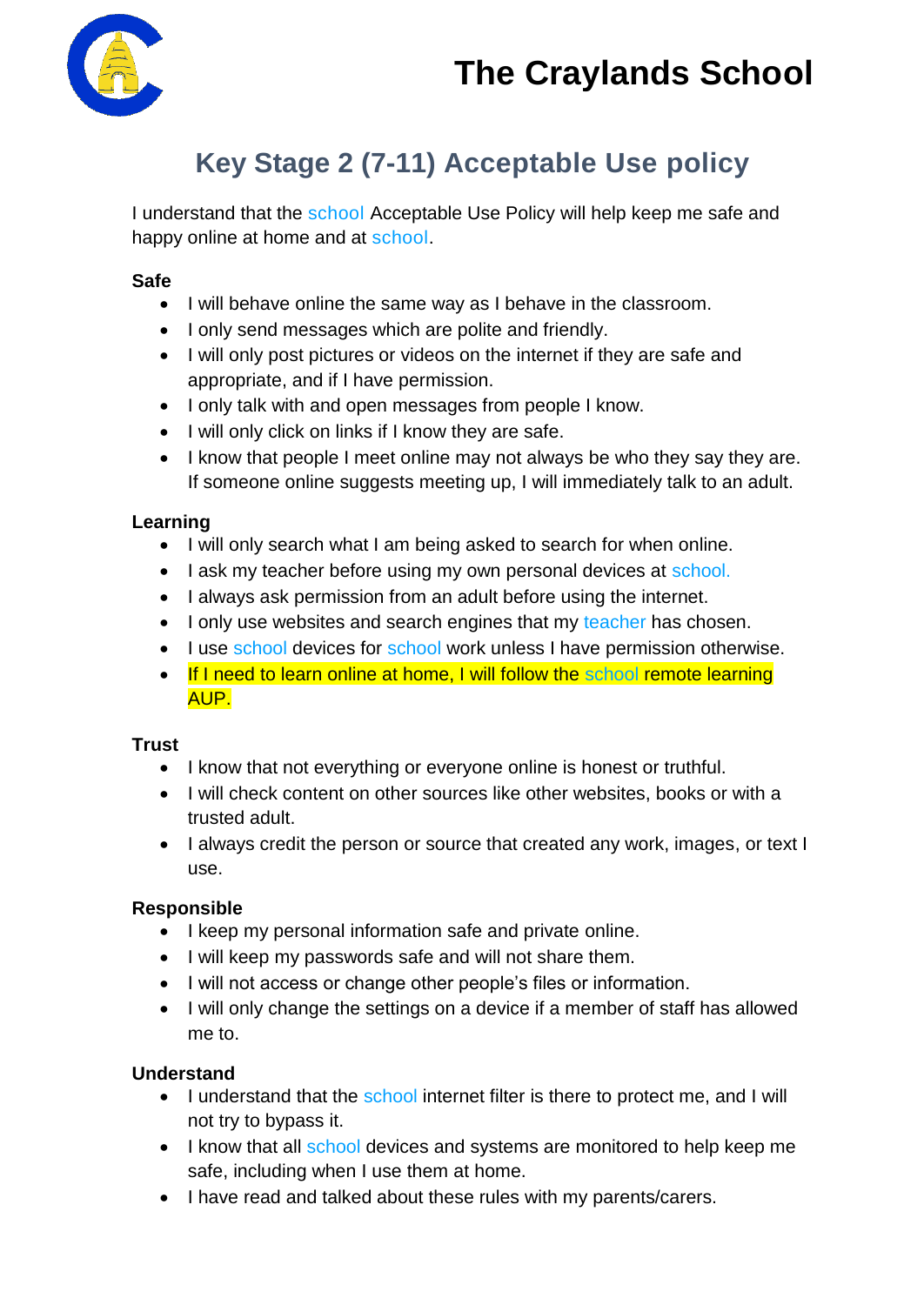

### **Key Stage 2 (7-11) Acceptable Use policy**

I understand that the school Acceptable Use Policy will help keep me safe and happy online at home and at school.

#### **Safe**

- I will behave online the same way as I behave in the classroom.
- I only send messages which are polite and friendly.
- I will only post pictures or videos on the internet if they are safe and appropriate, and if I have permission.
- I only talk with and open messages from people I know.
- I will only click on links if I know they are safe.
- I know that people I meet online may not always be who they say they are. If someone online suggests meeting up, I will immediately talk to an adult.

#### **Learning**

- I will only search what I am being asked to search for when online.
- I ask my teacher before using my own personal devices at school.
- I always ask permission from an adult before using the internet.
- I only use websites and search engines that my teacher has chosen.
- I use school devices for school work unless I have permission otherwise.
- If I need to learn online at home, I will follow the school remote learning AUP.

#### **Trust**

- I know that not everything or everyone online is honest or truthful.
- I will check content on other sources like other websites, books or with a trusted adult.
- I always credit the person or source that created any work, images, or text I use.

#### **Responsible**

- I keep my personal information safe and private online.
- I will keep my passwords safe and will not share them.
- $\bullet$  I will not access or change other people's files or information.
- I will only change the settings on a device if a member of staff has allowed me to.

#### **Understand**

- I understand that the school internet filter is there to protect me, and I will not try to bypass it.
- I know that all school devices and systems are monitored to help keep me safe, including when I use them at home.
- I have read and talked about these rules with my parents/carers.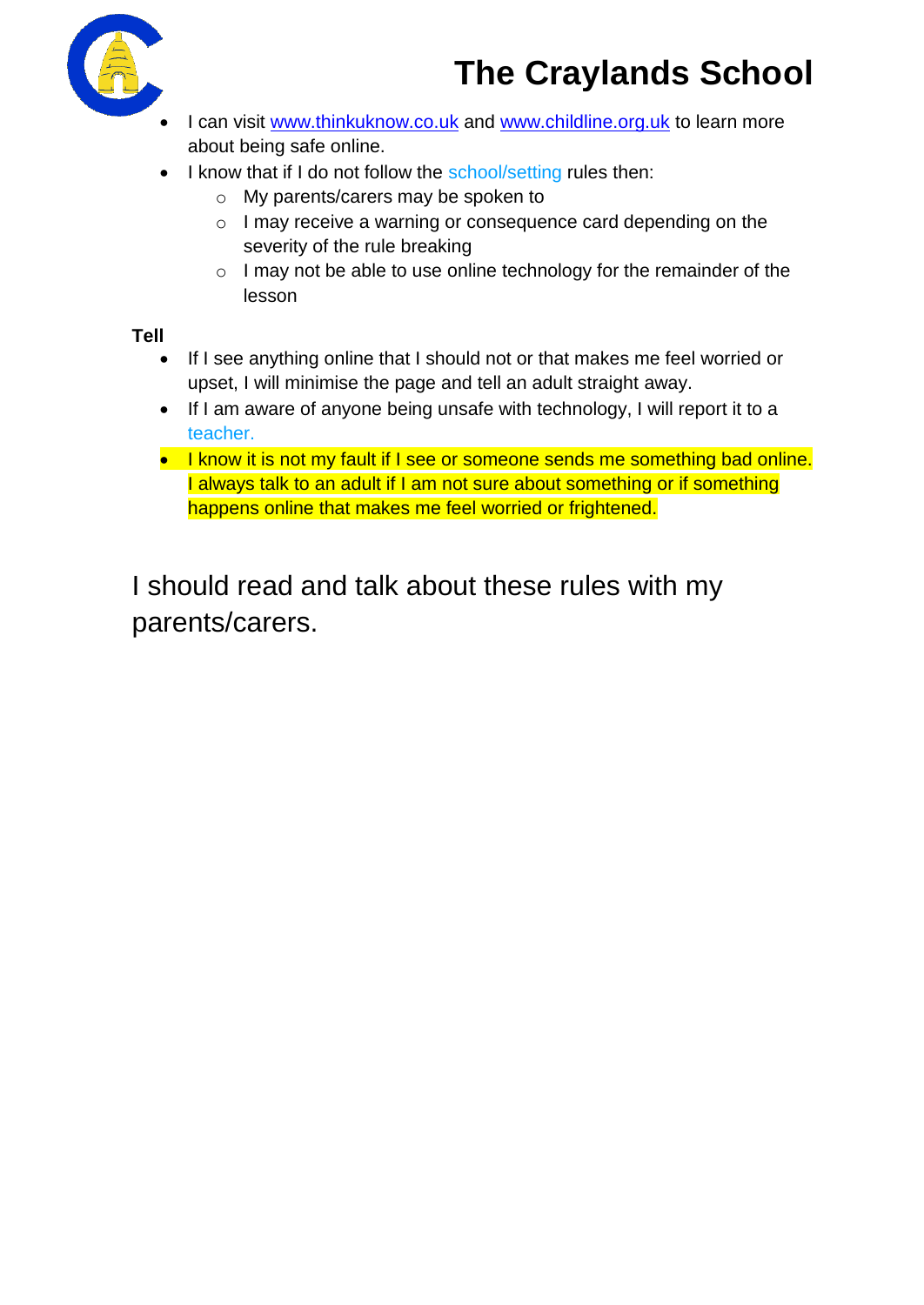

- I can visit [www.thinkuknow.co.uk](http://www.thinkuknow.co.uk/) and [www.childline.org.uk](http://www.childline.org.uk/) to learn more about being safe online.
- I know that if I do not follow the school/setting rules then:
	- o My parents/carers may be spoken to
	- o I may receive a warning or consequence card depending on the severity of the rule breaking
	- o I may not be able to use online technology for the remainder of the lesson

**Tell**

- If I see anything online that I should not or that makes me feel worried or upset, I will minimise the page and tell an adult straight away.
- If I am aware of anyone being unsafe with technology, I will report it to a teacher.
- I know it is not my fault if I see or someone sends me something bad online. I always talk to an adult if I am not sure about something or if something happens online that makes me feel worried or frightened.

I should read and talk about these rules with my parents/carers.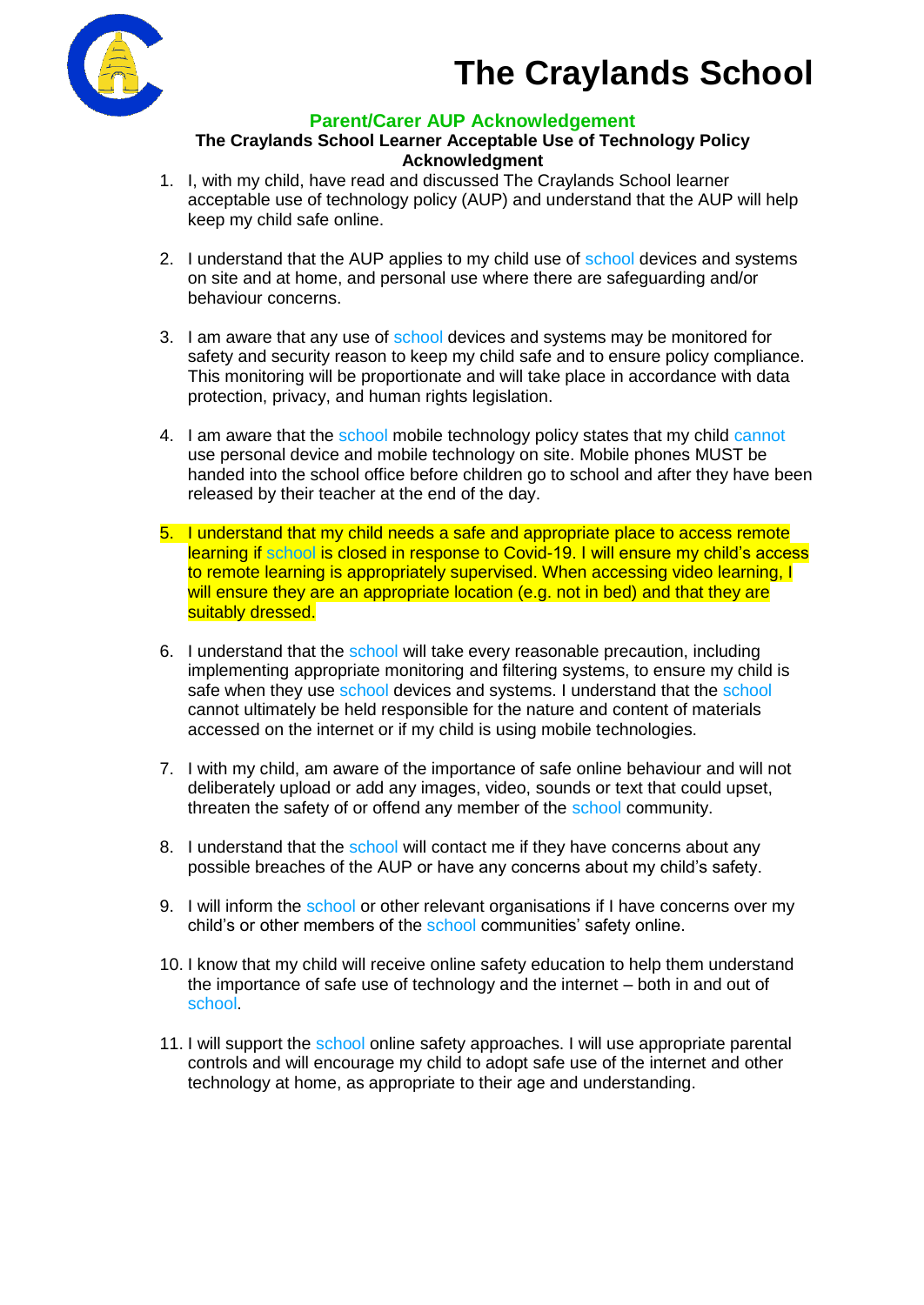



#### **Parent/Carer AUP Acknowledgement**

#### **The Craylands School Learner Acceptable Use of Technology Policy Acknowledgment**

- 1. I, with my child, have read and discussed The Craylands School learner acceptable use of technology policy (AUP) and understand that the AUP will help keep my child safe online.
- 2. I understand that the AUP applies to my child use of school devices and systems on site and at home, and personal use where there are safeguarding and/or behaviour concerns.
- 3. I am aware that any use of school devices and systems may be monitored for safety and security reason to keep my child safe and to ensure policy compliance. This monitoring will be proportionate and will take place in accordance with data protection, privacy, and human rights legislation.
- 4. I am aware that the school mobile technology policy states that my child cannot use personal device and mobile technology on site. Mobile phones MUST be handed into the school office before children go to school and after they have been released by their teacher at the end of the day.
- 5. I understand that my child needs a safe and appropriate place to access remote learning if school is closed in response to Covid-19. I will ensure my child's access to remote learning is appropriately supervised. When accessing video learning, I will ensure they are an appropriate location (e.g. not in bed) and that they are suitably dressed.
- 6. I understand that the school will take every reasonable precaution, including implementing appropriate monitoring and filtering systems, to ensure my child is safe when they use school devices and systems. I understand that the school cannot ultimately be held responsible for the nature and content of materials accessed on the internet or if my child is using mobile technologies.
- 7. I with my child, am aware of the importance of safe online behaviour and will not deliberately upload or add any images, video, sounds or text that could upset, threaten the safety of or offend any member of the school community.
- 8. I understand that the school will contact me if they have concerns about any possible breaches of the AUP or have any concerns about my child's safety.
- 9. I will inform the school or other relevant organisations if I have concerns over my child's or other members of the school communities' safety online.
- 10. I know that my child will receive online safety education to help them understand the importance of safe use of technology and the internet – both in and out of school.
- 11. I will support the school online safety approaches. I will use appropriate parental controls and will encourage my child to adopt safe use of the internet and other technology at home, as appropriate to their age and understanding.